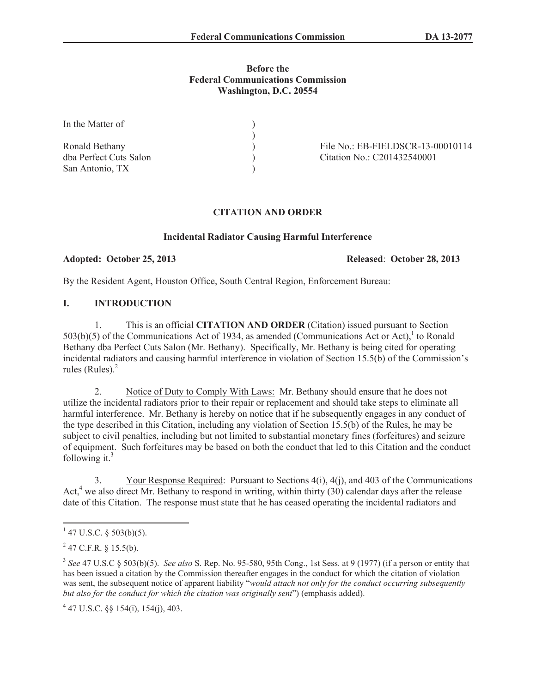#### **Before the Federal Communications Commission Washington, D.C. 20554**

| In the Matter of       |                                   |
|------------------------|-----------------------------------|
|                        |                                   |
| Ronald Bethany         | File No.: EB-FIELDSCR-13-00010114 |
| dba Perfect Cuts Salon | Citation No.: C201432540001       |
| San Antonio, TX        |                                   |

# **CITATION AND ORDER**

#### **Incidental Radiator Causing Harmful Interference**

#### **Adopted: October 25, 2013 Released**: **October 28, 2013**

By the Resident Agent, Houston Office, South Central Region, Enforcement Bureau:

## **I. INTRODUCTION**

1. This is an official **CITATION AND ORDER** (Citation) issued pursuant to Section  $503(b)(5)$  of the Communications Act of 1934, as amended (Communications Act or Act),<sup>1</sup> to Ronald Bethany dba Perfect Cuts Salon (Mr. Bethany). Specifically, Mr. Bethany is being cited for operating incidental radiators and causing harmful interference in violation of Section 15.5(b) of the Commission's rules (Rules). $<sup>2</sup>$ </sup>

2. Notice of Duty to Comply With Laws: Mr. Bethany should ensure that he does not utilize the incidental radiators prior to their repair or replacement and should take steps to eliminate all harmful interference. Mr. Bethany is hereby on notice that if he subsequently engages in any conduct of the type described in this Citation, including any violation of Section 15.5(b) of the Rules, he may be subject to civil penalties, including but not limited to substantial monetary fines (forfeitures) and seizure of equipment. Such forfeitures may be based on both the conduct that led to this Citation and the conduct following it. $3$ 

3. Your Response Required: Pursuant to Sections 4(i), 4(j), and 403 of the Communications Act, $4$  we also direct Mr. Bethany to respond in writing, within thirty (30) calendar days after the release date of this Citation. The response must state that he has ceased operating the incidental radiators and

 $1$  47 U.S.C. § 503(b)(5).

 $^{2}$  47 C.F.R. § 15.5(b).

<sup>3</sup> *See* 47 U.S.C § 503(b)(5). *See also* S. Rep. No. 95-580, 95th Cong., 1st Sess. at 9 (1977) (if a person or entity that has been issued a citation by the Commission thereafter engages in the conduct for which the citation of violation was sent, the subsequent notice of apparent liability "*would attach not only for the conduct occurring subsequently but also for the conduct for which the citation was originally sent*") (emphasis added).

 $4$  47 U.S.C. §§ 154(i), 154(j), 403.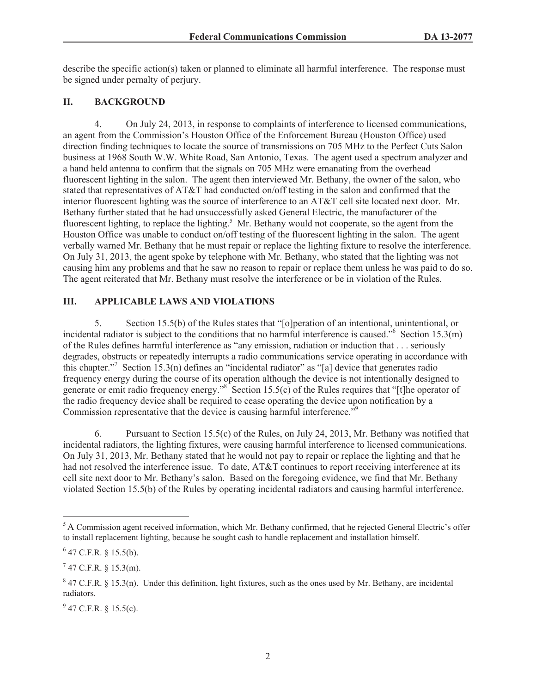describe the specific action(s) taken or planned to eliminate all harmful interference. The response must be signed under pernalty of perjury.

# **II. BACKGROUND**

4. On July 24, 2013, in response to complaints of interference to licensed communications, an agent from the Commission's Houston Office of the Enforcement Bureau (Houston Office) used direction finding techniques to locate the source of transmissions on 705 MHz to the Perfect Cuts Salon business at 1968 South W.W. White Road, San Antonio, Texas. The agent used a spectrum analyzer and a hand held antenna to confirm that the signals on 705 MHz were emanating from the overhead fluorescent lighting in the salon. The agent then interviewed Mr. Bethany, the owner of the salon, who stated that representatives of AT&T had conducted on/off testing in the salon and confirmed that the interior fluorescent lighting was the source of interference to an AT&T cell site located next door. Mr. Bethany further stated that he had unsuccessfully asked General Electric, the manufacturer of the fluorescent lighting, to replace the lighting.<sup>5</sup> Mr. Bethany would not cooperate, so the agent from the Houston Office was unable to conduct on/off testing of the fluorescent lighting in the salon. The agent verbally warned Mr. Bethany that he must repair or replace the lighting fixture to resolve the interference. On July 31, 2013, the agent spoke by telephone with Mr. Bethany, who stated that the lighting was not causing him any problems and that he saw no reason to repair or replace them unless he was paid to do so. The agent reiterated that Mr. Bethany must resolve the interference or be in violation of the Rules.

# **III. APPLICABLE LAWS AND VIOLATIONS**

5. Section 15.5(b) of the Rules states that "[o]peration of an intentional, unintentional, or incidental radiator is subject to the conditions that no harmful interference is caused."<sup>6</sup> Section 15.3(m) of the Rules defines harmful interference as "any emission, radiation or induction that . . . seriously degrades, obstructs or repeatedly interrupts a radio communications service operating in accordance with this chapter."<sup>7</sup> Section 15.3(n) defines an "incidental radiator" as "[a] device that generates radio frequency energy during the course of its operation although the device is not intentionally designed to generate or emit radio frequency energy."<sup>8</sup> Section 15.5(c) of the Rules requires that "[t]he operator of the radio frequency device shall be required to cease operating the device upon notification by a Commission representative that the device is causing harmful interference.<sup>"9</sup>

6. Pursuant to Section 15.5(c) of the Rules, on July 24, 2013, Mr. Bethany was notified that incidental radiators, the lighting fixtures, were causing harmful interference to licensed communications. On July 31, 2013, Mr. Bethany stated that he would not pay to repair or replace the lighting and that he had not resolved the interference issue. To date, AT&T continues to report receiving interference at its cell site next door to Mr. Bethany's salon. Based on the foregoing evidence, we find that Mr. Bethany violated Section 15.5(b) of the Rules by operating incidental radiators and causing harmful interference.

<sup>&</sup>lt;sup>5</sup> A Commission agent received information, which Mr. Bethany confirmed, that he rejected General Electric's offer to install replacement lighting, because he sought cash to handle replacement and installation himself.

 $6$  47 C.F.R. § 15.5(b).

 $7$  47 C.F.R. § 15.3(m).

 $8$  47 C.F.R. § 15.3(n). Under this definition, light fixtures, such as the ones used by Mr. Bethany, are incidental radiators.

 $9^9$  47 C.F.R. § 15.5(c).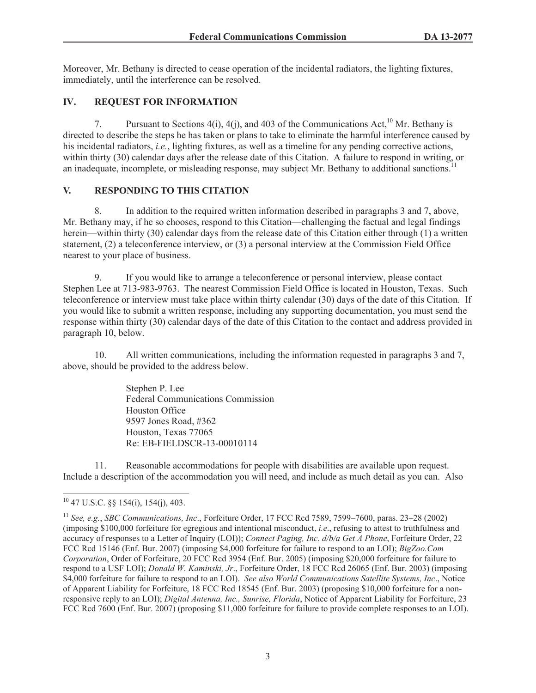Moreover, Mr. Bethany is directed to cease operation of the incidental radiators, the lighting fixtures, immediately, until the interference can be resolved.

# **IV. REQUEST FOR INFORMATION**

7. Pursuant to Sections  $4(i)$ ,  $4(j)$ , and  $403$  of the Communications Act,<sup>10</sup> Mr. Bethany is directed to describe the steps he has taken or plans to take to eliminate the harmful interference caused by his incidental radiators, *i.e.*, lighting fixtures, as well as a timeline for any pending corrective actions, within thirty (30) calendar days after the release date of this Citation. A failure to respond in writing, or an inadequate, incomplete, or misleading response, may subject Mr. Bethany to additional sanctions.<sup>11</sup>

## **V. RESPONDING TO THIS CITATION**

8. In addition to the required written information described in paragraphs 3 and 7, above, Mr. Bethany may, if he so chooses, respond to this Citation—challenging the factual and legal findings herein—within thirty (30) calendar days from the release date of this Citation either through (1) a written statement, (2) a teleconference interview, or (3) a personal interview at the Commission Field Office nearest to your place of business.

9. If you would like to arrange a teleconference or personal interview, please contact Stephen Lee at 713-983-9763. The nearest Commission Field Office is located in Houston, Texas. Such teleconference or interview must take place within thirty calendar (30) days of the date of this Citation. If you would like to submit a written response, including any supporting documentation, you must send the response within thirty (30) calendar days of the date of this Citation to the contact and address provided in paragraph 10, below.

10. All written communications, including the information requested in paragraphs 3 and 7, above, should be provided to the address below.

> Stephen P. Lee Federal Communications Commission Houston Office 9597 Jones Road, #362 Houston, Texas 77065 Re: EB-FIELDSCR-13-00010114

11. Reasonable accommodations for people with disabilities are available upon request. Include a description of the accommodation you will need, and include as much detail as you can. Also

 $10$  47 U.S.C.  $\&$  154(i), 154(j), 403.

<sup>11</sup> *See, e.g.*, *SBC Communications, Inc*., Forfeiture Order, 17 FCC Rcd 7589, 7599–7600, paras. 23–28 (2002) (imposing \$100,000 forfeiture for egregious and intentional misconduct, *i.e*., refusing to attest to truthfulness and accuracy of responses to a Letter of Inquiry (LOI)); *Connect Paging, Inc. d/b/a Get A Phone*, Forfeiture Order, 22 FCC Rcd 15146 (Enf. Bur. 2007) (imposing \$4,000 forfeiture for failure to respond to an LOI); *BigZoo.Com Corporation*, Order of Forfeiture, 20 FCC Rcd 3954 (Enf. Bur. 2005) (imposing \$20,000 forfeiture for failure to respond to a USF LOI); *Donald W. Kaminski, Jr*., Forfeiture Order, 18 FCC Rcd 26065 (Enf. Bur. 2003) (imposing \$4,000 forfeiture for failure to respond to an LOI). *See also World Communications Satellite Systems, Inc*., Notice of Apparent Liability for Forfeiture, 18 FCC Rcd 18545 (Enf. Bur. 2003) (proposing \$10,000 forfeiture for a nonresponsive reply to an LOI); *Digital Antenna, Inc., Sunrise, Florida*, Notice of Apparent Liability for Forfeiture, 23 FCC Rcd 7600 (Enf. Bur. 2007) (proposing \$11,000 forfeiture for failure to provide complete responses to an LOI).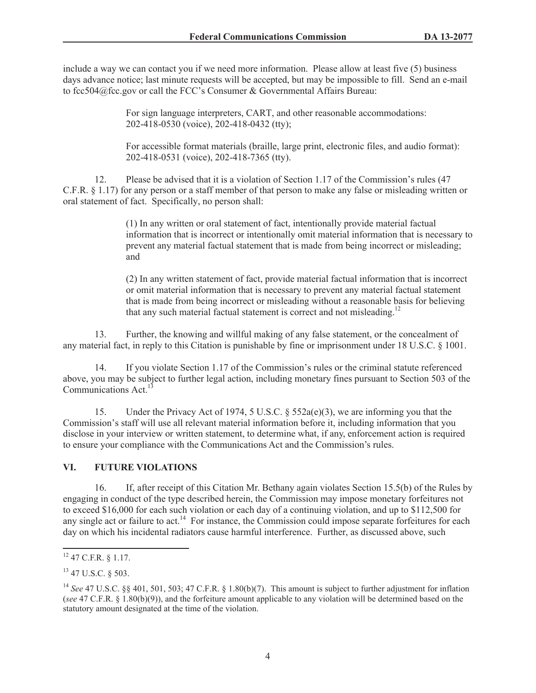include a way we can contact you if we need more information. Please allow at least five (5) business days advance notice; last minute requests will be accepted, but may be impossible to fill. Send an e-mail to fcc504@fcc.gov or call the FCC's Consumer & Governmental Affairs Bureau:

> For sign language interpreters, CART, and other reasonable accommodations: 202-418-0530 (voice), 202-418-0432 (tty);

For accessible format materials (braille, large print, electronic files, and audio format): 202-418-0531 (voice), 202-418-7365 (tty).

12. Please be advised that it is a violation of Section 1.17 of the Commission's rules (47 C.F.R. § 1.17) for any person or a staff member of that person to make any false or misleading written or oral statement of fact. Specifically, no person shall:

> (1) In any written or oral statement of fact, intentionally provide material factual information that is incorrect or intentionally omit material information that is necessary to prevent any material factual statement that is made from being incorrect or misleading; and

(2) In any written statement of fact, provide material factual information that is incorrect or omit material information that is necessary to prevent any material factual statement that is made from being incorrect or misleading without a reasonable basis for believing that any such material factual statement is correct and not misleading.<sup>12</sup>

13. Further, the knowing and willful making of any false statement, or the concealment of any material fact, in reply to this Citation is punishable by fine or imprisonment under 18 U.S.C. § 1001.

14. If you violate Section 1.17 of the Commission's rules or the criminal statute referenced above, you may be subject to further legal action, including monetary fines pursuant to Section 503 of the Communications Act.<sup>1</sup>

15. Under the Privacy Act of 1974, 5 U.S.C. § 552a(e)(3), we are informing you that the Commission's staff will use all relevant material information before it, including information that you disclose in your interview or written statement, to determine what, if any, enforcement action is required to ensure your compliance with the Communications Act and the Commission's rules.

## **VI. FUTURE VIOLATIONS**

16. If, after receipt of this Citation Mr. Bethany again violates Section 15.5(b) of the Rules by engaging in conduct of the type described herein, the Commission may impose monetary forfeitures not to exceed \$16,000 for each such violation or each day of a continuing violation, and up to \$112,500 for any single act or failure to act.<sup>14</sup> For instance, the Commission could impose separate forfeitures for each day on which his incidental radiators cause harmful interference. Further, as discussed above, such

<sup>12</sup> 47 C.F.R. § 1.17.

<sup>13</sup> 47 U.S.C. § 503.

<sup>14</sup> *See* 47 U.S.C. §§ 401, 501, 503; 47 C.F.R. § 1.80(b)(7). This amount is subject to further adjustment for inflation (*see* 47 C.F.R. § 1.80(b)(9)), and the forfeiture amount applicable to any violation will be determined based on the statutory amount designated at the time of the violation.